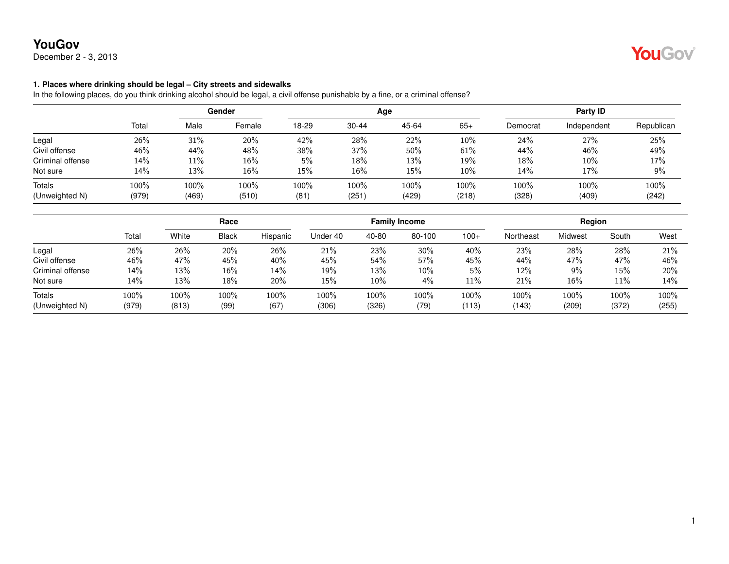December 2 - 3, 2013

#### **1. Places where drinking should be legal – City streets and sidewalks**

In the following places, do you think drinking alcohol should be legal, a civil offense punishable by a fine, or a criminal offense?

|                  |       |       | Gender |       |           | Age    |        | Party ID |             |            |  |
|------------------|-------|-------|--------|-------|-----------|--------|--------|----------|-------------|------------|--|
|                  | Total | Male  | Female | 18-29 | $30 - 44$ | 45-64  | $65+$  | Democrat | Independent | Republican |  |
| Legal            | 26%   | 31%   | 20%    | 42%   | 28%       | 22%    | $10\%$ | 24%      | 27%         | 25%        |  |
| Civil offense    | 46%   | 44%   | 48%    | 38%   | 37%       | $50\%$ | 61%    | 44%      | 46%         | 49%        |  |
| Criminal offense | 14%   | 11%   | 16%    | 5%    | 18%       | 13%    | 19%    | 18%      | 10%         | 17%        |  |
| Not sure         | 14%   | 13%   | 16%    | 15%   | 16%       | 15%    | $10\%$ | 14%      | 17%         | 9%         |  |
| <b>Totals</b>    | 100%  | 100%  | 100%   | 100%  | 100%      | 100%   | 100%   | 100%     | 100%        | 100%       |  |
| (Unweighted N)   | (979) | (469) | (510)  | (81)  | (251)     | (429)  | (218)  | (328)    | (409)       | (242)      |  |

|                          |               | Race          |              |              | <b>Family Income</b> |               |              |               | <b>Region</b> |               |               |               |
|--------------------------|---------------|---------------|--------------|--------------|----------------------|---------------|--------------|---------------|---------------|---------------|---------------|---------------|
|                          | Total         | White         | <b>Black</b> | Hispanic     | Under 40             | 40-80         | 80-100       | $100+$        | Northeast     | Midwest       | South         | West          |
| Legal                    | 26%           | 26%           | 20%          | 26%          | 21%                  | 23%           | 30%          | 40%           | 23%           | 28%           | 28%           | 21%           |
| Civil offense            | 46%           | 47%           | 45%          | 40%          | 45%                  | 54%           | 57%          | 45%           | 44%           | 47%           | 47%           | 46%           |
| Criminal offense         | 14%           | 13%           | 16%          | 14%          | 19%                  | 13%           | 10%          | 5%            | 12%           | 9%            | 15%           | 20%           |
| Not sure                 | 14%           | 13%           | 18%          | 20%          | 15%                  | 10%           | 4%           | 11%           | 21%           | $16\%$        | 11%           | 14%           |
| Totals<br>(Unweighted N) | 100%<br>(979) | 100%<br>(813) | 100%<br>(99) | 100%<br>(67) | 100%<br>(306)        | 100%<br>(326) | 100%<br>(79) | 100%<br>(113) | 100%<br>(143) | 100%<br>(209) | 100%<br>(372) | 100%<br>(255) |

YouGov®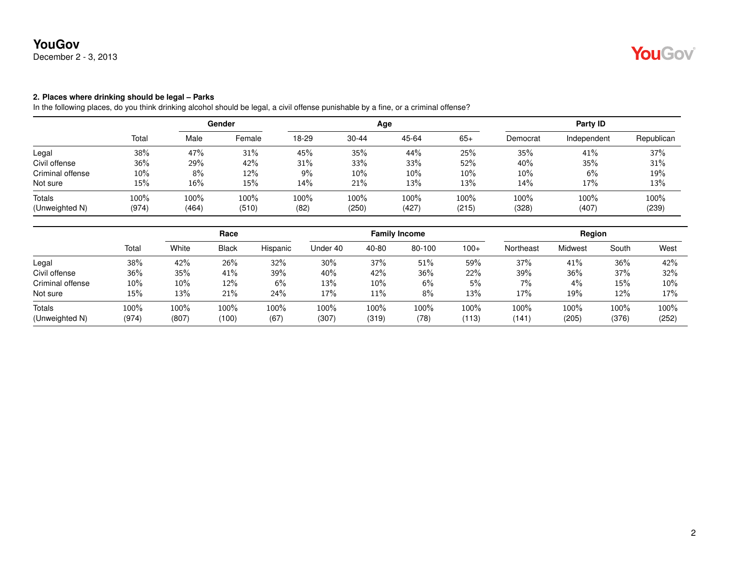December 2 - 3, 2013

#### **2. Places where drinking should be legal – Parks**

In the following places, do you think drinking alcohol should be legal, a civil offense punishable by a fine, or a criminal offense?

|                  |        | Gender |        |       |           | Age   | Party ID |          |             |            |
|------------------|--------|--------|--------|-------|-----------|-------|----------|----------|-------------|------------|
|                  | Total  | Male   | Female | 18-29 | $30 - 44$ | 45-64 | $65+$    | Democrat | Independent | Republican |
| Legal            | 38%    | 47%    | 31%    | 45%   | 35%       | 44%   | 25%      | 35%      | 41%         | 37%        |
| Civil offense    | 36%    | 29%    | 42%    | 31%   | 33%       | 33%   | 52%      | 40%      | 35%         | 31%        |
| Criminal offense | $10\%$ | 8%     | 12%    | $9\%$ | $10\%$    | 10%   | 10%      | $10\%$   | 6%          | 19%        |
| Not sure         | 15%    | 16%    | 15%    | 14%   | 21%       | 13%   | 13%      | 14%      | 17%         | 13%        |
| Totals           | 100%   | 100%   | 100%   | 100%  | 100%      | 100%  | 100%     | 100%     | 100%        | 100%       |
| (Unweighted N)   | (974)  | (464)  | (510)  | (82)  | (250)     | (427) | (215)    | (328)    | (407)       | (239)      |

|        | Race   |       |          | <b>Family Income</b> |       |        |        | Region    |         |       |               |
|--------|--------|-------|----------|----------------------|-------|--------|--------|-----------|---------|-------|---------------|
| Total  | White  | Black | Hispanic | Under 40             | 40-80 | 80-100 | $100+$ | Northeast | Midwest | South | West          |
| 38%    | 42%    | 26%   | 32%      | 30%                  | 37%   | 51%    | 59%    | 37%       | 41%     | 36%   | 42%           |
| 36%    | 35%    | 41%   | 39%      | 40%                  | 42%   | 36%    | 22%    | 39%       | 36%     | 37%   | 32%           |
| $10\%$ | $10\%$ | 12%   | 6%       | 13%                  | 10%   | 6%     | 5%     | 7%        | 4%      | 15%   | 10%           |
| 15%    | 13%    | 21%   | 24%      | 17%                  | 11%   | 8%     | 13%    | 17%       | 19%     | 12%   | 17%           |
| 100%   | 100%   | 100%  | 100%     | 100%                 | 100%  | 100%   | 100%   | 100%      | 100%    | 100%  | 100%<br>(252) |
|        | (974)  | (807) | (100)    | (67)                 | (307) | (319)  | (78)   | (113)     | (141)   | (205) | (376)         |

YouGov®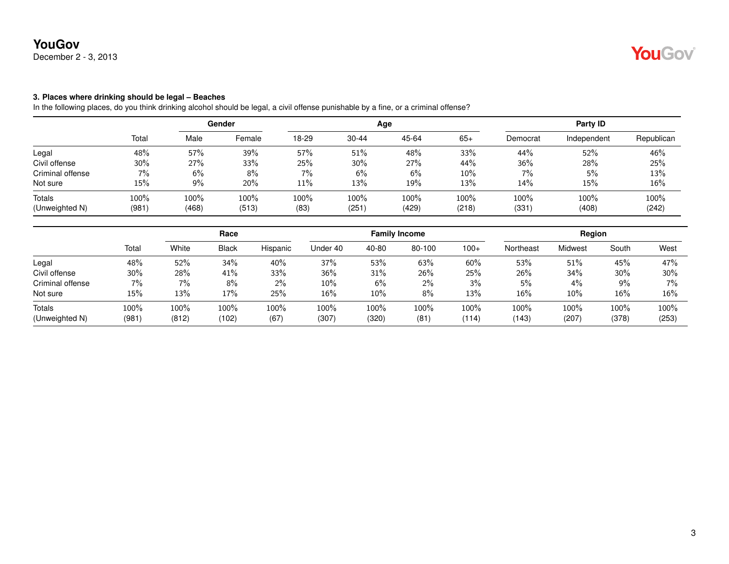December 2 - 3, 2013

### **3. Places where drinking should be legal – Beaches**

|                  |       |       | Gender |       |           | Age   | Party ID |          |             |            |
|------------------|-------|-------|--------|-------|-----------|-------|----------|----------|-------------|------------|
|                  | Total | Male  | Female | 18-29 | $30 - 44$ | 45-64 | $65+$    | Democrat | Independent | Republican |
| Legal            | 48%   | 57%   | 39%    | 57%   | 51%       | 48%   | 33%      | 44%      | 52%         | 46%        |
| Civil offense    | 30%   | 27%   | 33%    | 25%   | 30%       | 27%   | 44%      | 36%      | 28%         | 25%        |
| Criminal offense | 7%    | 6%    | 8%     | 7%    | 6%        | 6%    | 10%      | 7%       | 5%          | 13%        |
| Not sure         | 15%   | 9%    | 20%    | 11%   | 13%       | 19%   | 13%      | 14%      | 15%         | 16%        |
| Totals           | 100%  | 100%  | 100%   | 100%  | 100%      | 100%  | 100%     | 100%     | 100%        | 100%       |
| (Unweighted N)   | (981) | (468) | (513)  | (83)  | (251)     | (429) | (218)    | (331)    | (408)       | (242)      |

|                  |       | Race  |              | <b>Family Income</b> |          |        |        | Region |           |         |       |       |
|------------------|-------|-------|--------------|----------------------|----------|--------|--------|--------|-----------|---------|-------|-------|
|                  | Total | White | <b>Black</b> | Hispanic             | Under 40 | 40-80  | 80-100 | $100+$ | Northeast | Midwest | South | West  |
| Legal            | 48%   | 52%   | 34%          | 40%                  | 37%      | 53%    | 63%    | 60%    | 53%       | 51%     | 45%   | 47%   |
| Civil offense    | 30%   | 28%   | 41%          | 33%                  | 36%      | 31%    | 26%    | 25%    | 26%       | 34%     | 30%   | 30%   |
| Criminal offense | 7%    | $7\%$ | 8%           | 2%                   | $10\%$   | 6%     | $2\%$  | 3%     | 5%        | 4%      | $9\%$ | $7\%$ |
| Not sure         | 15%   | 13%   | 17%          | 25%                  | $16\%$   | $10\%$ | 8%     | 13%    | 16%       | 10%     | 16%   | 16%   |
| Totals           | 100%  | 100%  | 100%         | 100%                 | 100%     | 100%   | 100%   | 100%   | 100%      | 100%    | 100%  | 100%  |
| (Unweighted N)   | (981) | (812) | (102)        | (67)                 | (307)    | (320)  | (81)   | (114)  | (143)     | (207)   | (378) | (253) |

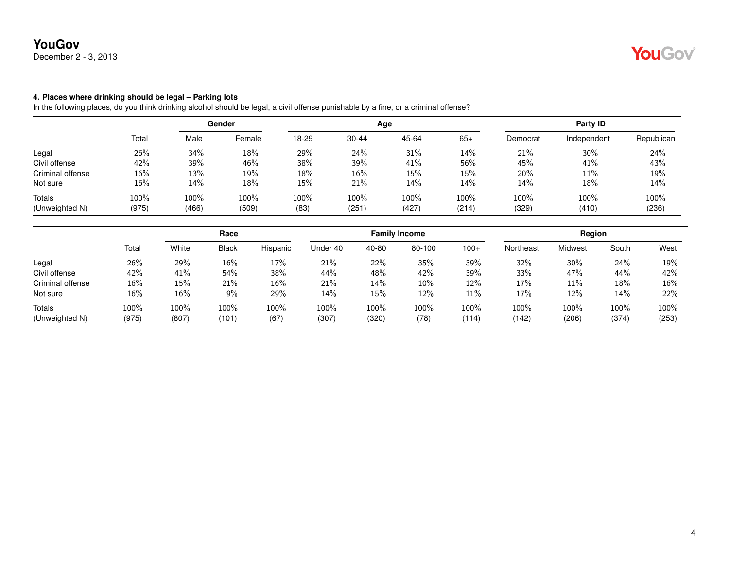December 2 - 3, 2013

#### **4. Places where drinking should be legal – Parking lots**

|                  |       | Gender |        |       |           | Age   | Party ID |          |             |            |
|------------------|-------|--------|--------|-------|-----------|-------|----------|----------|-------------|------------|
|                  | Total | Male   | Female | 18-29 | $30 - 44$ | 45-64 | $65+$    | Democrat | Independent | Republican |
| Legal            | 26%   | 34%    | 18%    | 29%   | 24%       | 31%   | 14%      | 21%      | 30%         | 24%        |
| Civil offense    | 42%   | 39%    | 46%    | 38%   | 39%       | 41%   | 56%      | 45%      | 41%         | 43%        |
| Criminal offense | 16%   | 13%    | 19%    | 18%   | $16\%$    | 15%   | 15%      | 20%      | 11%         | 19%        |
| Not sure         | 16%   | 14%    | 18%    | 15%   | 21%       | 14%   | 14%      | 14%      | 18%         | 14%        |
| Totals           | 100%  | 100%   | 100%   | 100%  | 100%      | 100%  | 100%     | 100%     | 100%        | 100%       |
| (Unweighted N)   | (975) | (466)  | (509)  | (83)  | (251)     | (427) | (214)    | (329)    | (410)       | (236)      |

|                  |        |       | Race  |          | <b>Family Income</b> |       |        |        | Region    |         |       |         |
|------------------|--------|-------|-------|----------|----------------------|-------|--------|--------|-----------|---------|-------|---------|
|                  | Total  | White | Black | Hispanic | Under 40             | 40-80 | 80-100 | $100+$ | Northeast | Midwest | South | West    |
| Legal            | 26%    | 29%   | 16%   | 17%      | 21%                  | 22%   | 35%    | 39%    | 32%       | 30%     | 24%   | 19%     |
| Civil offense    | 42%    | 41%   | 54%   | 38%      | 44%                  | 48%   | 42%    | 39%    | 33%       | 47%     | 44%   | 42%     |
| Criminal offense | $16\%$ | 15%   | 21%   | 16%      | 21%                  | 14%   | $10\%$ | 12%    | 17%       | 11%     | 18%   | 16%     |
| Not sure         | 16%    | 16%   | 9%    | 29%      | 14%                  | 15%   | 12%    | 11%    | 17%       | 12%     | 14%   | 22%     |
| <b>Totals</b>    | 100%   | 100%  | 100%  | 100%     | 100%                 | 100%  | 100%   | 100%   | 100%      | 100%    | 100%  | $100\%$ |
| (Unweighted N)   | (975)  | (807) | (101) | (67)     | (307)                | (320) | (78)   | (114)  | (142)     | (206)   | (374) | (253)   |

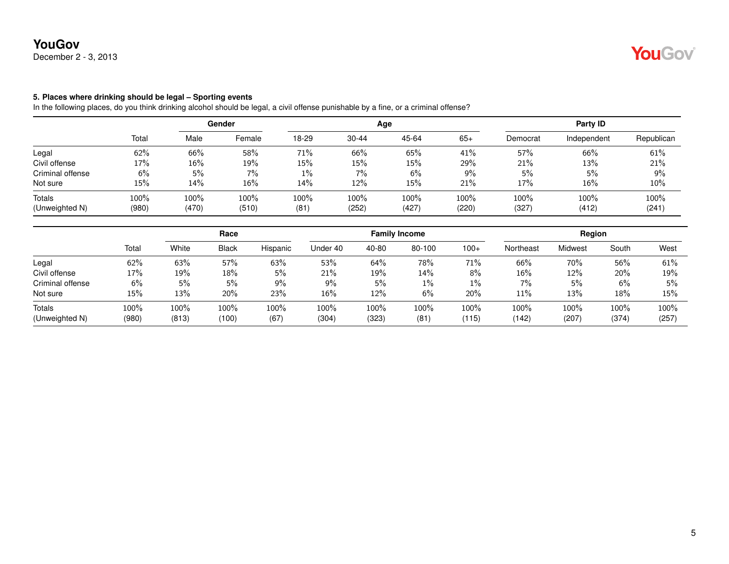December 2 - 3, 2013

#### **5. Places where drinking should be legal – Sporting events**

|                  |       | Gender |        |       |           | Age   |       | Party ID |             |            |  |
|------------------|-------|--------|--------|-------|-----------|-------|-------|----------|-------------|------------|--|
|                  | Total | Male   | Female | 18-29 | $30 - 44$ | 45-64 | $65+$ | Democrat | Independent | Republican |  |
| Legal            | 62%   | 66%    | 58%    | 71%   | 66%       | 65%   | 41%   | 57%      | 66%         | 61%        |  |
| Civil offense    | 17%   | 16%    | 19%    | 15%   | 15%       | 15%   | 29%   | 21%      | 13%         | 21%        |  |
| Criminal offense | 6%    | 5%     | $7\%$  | $1\%$ | 7%        | 6%    | 9%    | 5%       | 5%          | 9%         |  |
| Not sure         | 15%   | 14%    | 16%    | 14%   | 12%       | 15%   | 21%   | 17%      | 16%         | 10%        |  |
| Totals           | 100%  | 100%   | 100%   | 100%  | 100%      | 100%  | 100%  | 100%     | 100%        | 100%       |  |
| (Unweighted N)   | (980) | (470)  | (510)  | (81)  | (252)     | (427) | (220) | (327)    | (412)       | (241)      |  |

|                  | Race  |       |              |          |          | <b>Family Income</b> | Region |        |           |         |       |       |
|------------------|-------|-------|--------------|----------|----------|----------------------|--------|--------|-----------|---------|-------|-------|
|                  | Total | White | <b>Black</b> | Hispanic | Under 40 | 40-80                | 80-100 | $100+$ | Northeast | Midwest | South | West  |
| Legal            | 62%   | 63%   | 57%          | 63%      | 53%      | 64%                  | 78%    | 71%    | 66%       | 70%     | 56%   | 61%   |
| Civil offense    | 17%   | 19%   | 18%          | 5%       | 21%      | 19%                  | 14%    | 8%     | 16%       | 12%     | 20%   | 19%   |
| Criminal offense | 6%    | 5%    | 5%           | $9\%$    | $9\%$    | 5%                   | $1\%$  | 1%     | 7%        | 5%      | 6%    | 5%    |
| Not sure         | 15%   | 13%   | 20%          | 23%      | 16%      | 12%                  | 6%     | 20%    | 11%       | 13%     | 18%   | 15%   |
| Totals           | 100%  | 100%  | 100%         | 100%     | 100%     | 100%                 | 100%   | 100%   | 100%      | 100%    | 100%  | 100%  |
| (Unweighted N)   | (980) | (813) | (100)        | (67)     | (304)    | (323)                | (81)   | (115)  | (142)     | (207)   | (374) | (257) |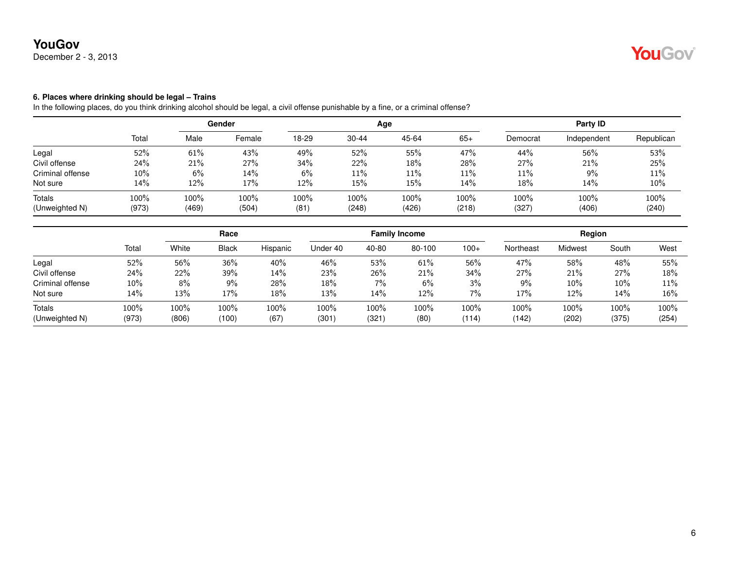December 2 - 3, 2013

#### **6. Places where drinking should be legal – Trains**

|                  |       | Gender |        |       |           | Age   |       | Party ID |             |            |  |
|------------------|-------|--------|--------|-------|-----------|-------|-------|----------|-------------|------------|--|
|                  | Total | Male   | Female | 18-29 | $30 - 44$ | 45-64 | $65+$ | Democrat | Independent | Republican |  |
| Legal            | 52%   | 61%    | 43%    | 49%   | 52%       | 55%   | 47%   | 44%      | 56%         | 53%        |  |
| Civil offense    | 24%   | 21%    | 27%    | 34%   | 22%       | 18%   | 28%   | 27%      | 21%         | 25%        |  |
| Criminal offense | 10%   | 6%     | $14\%$ | 6%    | 11%       | 11%   | 11%   | 11%      | 9%          | 11%        |  |
| Not sure         | 14%   | 12%    | 17%    | 12%   | 15%       | 15%   | 14%   | 18%      | 14%         | 10%        |  |
| Totals           | 100%  | 100%   | 100%   | 100%  | 100%      | 100%  | 100%  | 100%     | 100%        | 100%       |  |
| (Unweighted N)   | (973) | (469)  | (504)  | (81)  | (248)     | (426) | (218) | (327     | (406)       | (240)      |  |

|                  |       | Race  |              |          | <b>Family Income</b> |       |         |        | Region    |         |       |        |
|------------------|-------|-------|--------------|----------|----------------------|-------|---------|--------|-----------|---------|-------|--------|
|                  | Total | White | <b>Black</b> | Hispanic | Under 40             | 40-80 | 80-100  | $100+$ | Northeast | Midwest | South | West   |
| Legal            | 52%   | 56%   | 36%          | 40%      | 46%                  | 53%   | 61%     | 56%    | 47%       | 58%     | 48%   | 55%    |
| Civil offense    | 24%   | 22%   | 39%          | 14%      | 23%                  | 26%   | 21%     | 34%    | 27%       | 21%     | 27%   | 18%    |
| Criminal offense | 10%   | 8%    | $9\%$        | 28%      | 18%                  | 7%    | 6%      | 3%     | 9%        | 10%     | 10%   | 11%    |
| Not sure         | 14%   | 13%   | 17%          | 18%      | 13%                  | 14%   | 12%     | 7%     | 17%       | 12%     | 14%   | $16\%$ |
| <b>Totals</b>    | 100%  | 100%  | 100%         | 100%     | 100%                 | 100%  | $100\%$ | 100%   | 100%      | 100%    | 100%  | 100%   |
| (Unweighted N)   | (973) | (806) | (100)        | (67)     | (301)                | (321) | (80)    | (114)  | (142)     | (202)   | (375) | (254)  |

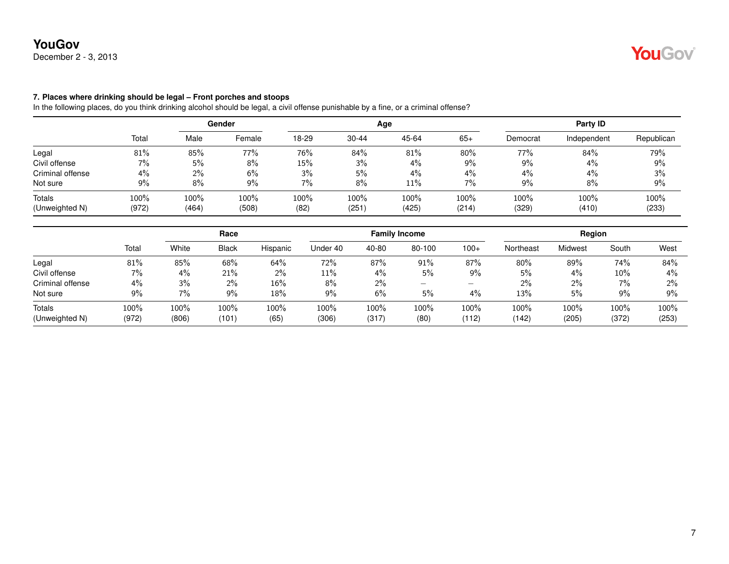December 2 - 3, 2013

#### **7. Places where drinking should be legal – Front porches and stoops**

|                  |       | Gender |        |       |           | Age   | Party ID |          |             |            |
|------------------|-------|--------|--------|-------|-----------|-------|----------|----------|-------------|------------|
|                  | Total | Male   | Female | 18-29 | $30 - 44$ | 45-64 | $65+$    | Democrat | Independent | Republican |
| Legal            | 81%   | 85%    | 77%    | 76%   | 84%       | 81%   | 80%      | 77%      | 84%         | 79%        |
| Civil offense    | 7%    | 5%     | 8%     | 15%   | 3%        | 4%    | 9%       | 9%       | 4%          | 9%         |
| Criminal offense | 4%    | 2%     | 6%     | 3%    | 5%        | 4%    | 4%       | $4\%$    | 4%          | 3%         |
| Not sure         | 9%    | 8%     | $9\%$  | 7%    | 8%        | 11%   | 7%       | 9%       | 8%          | 9%         |
| <b>Totals</b>    | 100%  | 100%   | 100%   | 100%  | 100%      | 100%  | $100\%$  | 100%     | 100%        | 100%       |
| (Unweighted N)   | (972) | (464)  | (508)  | (82)  | (251)     | (425) | (214)    | (329)    | (410)       | (233)      |

|                  |         | Race  |              |          |          |         | <b>Family Income</b>            |        | Region    |         |       |       |  |
|------------------|---------|-------|--------------|----------|----------|---------|---------------------------------|--------|-----------|---------|-------|-------|--|
|                  | Total   | White | <b>Black</b> | Hispanic | Under 40 | 40-80   | 80-100                          | $100+$ | Northeast | Midwest | South | West  |  |
| Legal            | 81%     | 85%   | 68%          | 64%      | 72%      | 87%     | 91%                             | 87%    | 80%       | 89%     | 74%   | 84%   |  |
| Civil offense    | $7\%$   | 4%    | 21%          | 2%       | 11%      | 4%      | 5%                              | $9\%$  | 5%        | 4%      | 10%   | 4%    |  |
| Criminal offense | $4\%$   | 3%    | 2%           | 16%      | 8%       | $2\%$   | $\hspace{0.1mm}-\hspace{0.1mm}$ | —      | 2%        | $2\%$   | $7\%$ | 2%    |  |
| Not sure         | 9%      | $7\%$ | 9%           | 18%      | 9%       | 6%      | 5%                              | 4%     | 13%       | 5%      | 9%    | 9%    |  |
| Totals           | $100\%$ | 100%  | 100%         | 100%     | 100%     | $100\%$ | 100%                            | 100%   | 100%      | $100\%$ | 100%  | 100%  |  |
| (Unweighted N)   | (972)   | (806) | (101)        | (65)     | (306)    | (317)   | (80)                            | (112)  | (142)     | (205)   | (372) | (253) |  |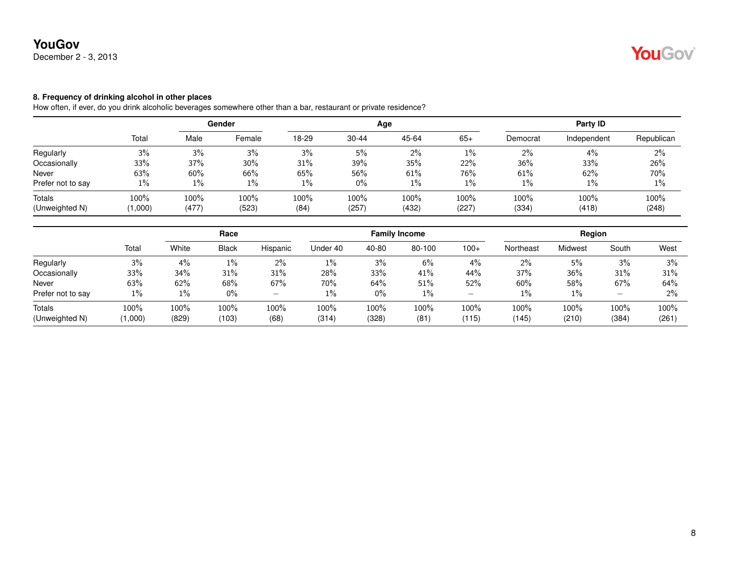December 2 - 3, 2013

#### **8. Frequency of drinking alcohol in other places**

How often, if ever, do you drink alcoholic beverages somewhere other than a bar, restaurant or private residence?

|                          |                 | Gender           |               |              |               | Age           | Party ID         |               |               |               |
|--------------------------|-----------------|------------------|---------------|--------------|---------------|---------------|------------------|---------------|---------------|---------------|
|                          | Total           | Male             | Female        | 18-29        | $30 - 44$     | 45-64         | $65+$            | Democrat      | Independent   | Republican    |
| Regularly                | 3%              | 3%               | 3%            | 3%           | 5%            | $2\%$         | 1%               | $2\%$         | 4%            | 2%            |
| Occasionally             | 33%             | 37%              | 30%           | 31%          | 39%           | 35%           | 22%              | 36%           | 33%           | 26%           |
| Never                    | 63%             | 60%              | 66%           | 65%          | 56%           | 61%           | 76%              | 61%           | 62%           | 70%           |
| Prefer not to say        | $1\%$           | $1\%$            | $1\%$         | $1\%$        | $0\%$         | 1%            | $1\%$            | $1\%$         | 1%            | 1%            |
| Totals<br>(Unweighted N) | 100%<br>(1,000) | $100\%$<br>(477) | 100%<br>(523) | 100%<br>(84) | 100%<br>(257) | 100%<br>(432) | $100\%$<br>(227) | 100%<br>(334) | 100%<br>(418) | 100%<br>(248) |
|                          |                 |                  |               |              |               |               |                  |               |               |               |

|                   |         | Race  |              |          |          |       | <b>Family Income</b> |        | Region    |         |         |       |
|-------------------|---------|-------|--------------|----------|----------|-------|----------------------|--------|-----------|---------|---------|-------|
|                   | Total   | White | <b>Black</b> | Hispanic | Under 40 | 40-80 | 80-100               | $100+$ | Northeast | Midwest | South   | West  |
| Regularly         | 3%      | 4%    | $1\%$        | $2\%$    | 1%       | 3%    | 6%                   | 4%     | 2%        | 5%      | 3%      | 3%    |
| Occasionally      | 33%     | 34%   | 31%          | 31%      | 28%      | 33%   | 41%                  | 44%    | 37%       | 36%     | 31%     | 31%   |
| Never             | 63%     | 62%   | 68%          | 67%      | 70%      | 64%   | 51%                  | 52%    | 60%       | 58%     | 67%     | 64%   |
| Prefer not to say | 1%      | 1%    | $0\%$        |          | $1\%$    | $0\%$ | $1\%$                | –      | 1%        | 1%      | -       | 2%    |
| Totals            | $100\%$ | 100%  | 100%         | 100%     | 100%     | 100%  | $100\%$              | 100%   | 100%      | $100\%$ | $100\%$ | 100%  |
| (Unweighted N)    | 1,000   | (829) | (103)        | (68)     | (314)    | (328) | (81)                 | (115)  | (145)     | (210)   | (384)   | (261) |